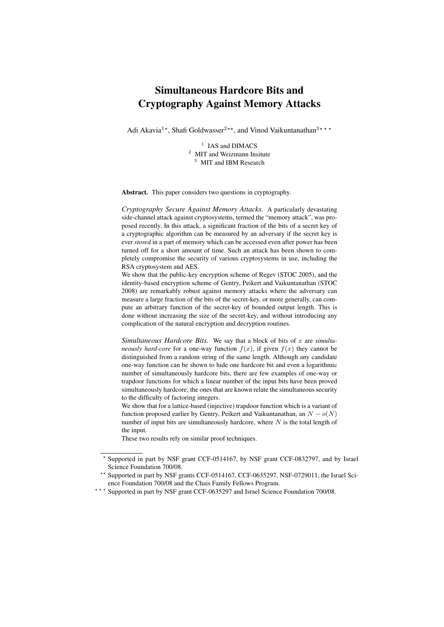# Simultaneous Hardcore Bits and Cryptography Against Memory Attacks

Adi Akavia<sup>1\*</sup>, Shafi Goldwasser<sup>2\*\*</sup>, and Vinod Vaikuntanathan<sup>3\*\*\*</sup>

<sup>1</sup> IAS and DIMACS <sup>2</sup> MIT and Weizmann Insitute <sup>3</sup> MIT and IBM Research

Abstract. This paper considers two questions in cryptography.

*Cryptography Secure Against Memory Attacks.* A particularly devastating side-channel attack against cryptosystems, termed the "memory attack", was proposed recently. In this attack, a significant fraction of the bits of a secret key of a cryptographic algorithm can be measured by an adversary if the secret key is ever *stored* in a part of memory which can be accessed even after power has been turned off for a short amount of time. Such an attack has been shown to completely compromise the security of various cryptosystems in use, including the RSA cryptosystem and AES.

We show that the public-key encryption scheme of Regev (STOC 2005), and the identity-based encryption scheme of Gentry, Peikert and Vaikuntanathan (STOC 2008) are remarkably robust against memory attacks where the adversary can measure a large fraction of the bits of the secret-key, or more generally, can compute an arbitrary function of the secret-key of bounded output length. This is done without increasing the size of the secret-key, and without introducing any complication of the natural encryption and decryption routines.

*Simultaneous Hardcore Bits.* We say that a block of bits of x are *simultaneously hard-core* for a one-way function  $f(x)$ , if given  $f(x)$  they cannot be distinguished from a random string of the same length. Although any candidate one-way function can be shown to hide one hardcore bit and even a logarithmic number of simultaneously hardcore bits, there are few examples of one-way or trapdoor functions for which a linear number of the input bits have been proved simultaneously hardcore; the ones that are known relate the simultaneous security to the difficulty of factoring integers.

We show that for a lattice-based (injective) trapdoor function which is a variant of function proposed earlier by Gentry, Peikert and Vaikuntanathan, an  $N - o(N)$ number of input bits are simultaneously hardcore, where  $N$  is the total length of the input.

These two results rely on similar proof techniques.

 $\star$ Supported in part by NSF grant CCF-0514167, by NSF grant CCF-0832797, and by Israel Science Foundation 700/08.

<sup>\*\*</sup> Supported in part by NSF grants CCF-0514167, CCF-0635297, NSF-0729011, the Israel Science Foundation 700/08 and the Chais Family Fellows Program.

<sup>\*\*\*</sup> Supported in part by NSF grant CCF-0635297 and Israel Science Foundation 700/08.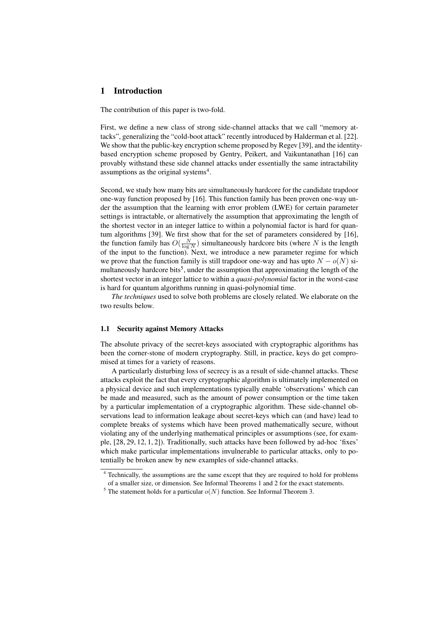## 1 Introduction

The contribution of this paper is two-fold.

First, we define a new class of strong side-channel attacks that we call "memory attacks", generalizing the "cold-boot attack" recently introduced by Halderman et al. [22]. We show that the public-key encryption scheme proposed by Regev [39], and the identitybased encryption scheme proposed by Gentry, Peikert, and Vaikuntanathan [16] can provably withstand these side channel attacks under essentially the same intractability assumptions as the original systems<sup>4</sup>.

Second, we study how many bits are simultaneously hardcore for the candidate trapdoor one-way function proposed by [16]. This function family has been proven one-way under the assumption that the learning with error problem (LWE) for certain parameter settings is intractable, or alternatively the assumption that approximating the length of the shortest vector in an integer lattice to within a polynomial factor is hard for quantum algorithms [39]. We first show that for the set of parameters considered by [16], the function family has  $O(\frac{N}{\log N})$  simultaneously hardcore bits (where N is the length of the input to the function). Next, we introduce a new parameter regime for which we prove that the function family is still trapdoor one-way and has upto  $N - o(N)$  simultaneously hardcore bits<sup>5</sup>, under the assumption that approximating the length of the shortest vector in an integer lattice to within a *quasi-polynomial* factor in the worst-case is hard for quantum algorithms running in quasi-polynomial time.

*The techniques* used to solve both problems are closely related. We elaborate on the two results below.

### 1.1 Security against Memory Attacks

The absolute privacy of the secret-keys associated with cryptographic algorithms has been the corner-stone of modern cryptography. Still, in practice, keys do get compromised at times for a variety of reasons.

A particularly disturbing loss of secrecy is as a result of side-channel attacks. These attacks exploit the fact that every cryptographic algorithm is ultimately implemented on a physical device and such implementations typically enable 'observations' which can be made and measured, such as the amount of power consumption or the time taken by a particular implementation of a cryptographic algorithm. These side-channel observations lead to information leakage about secret-keys which can (and have) lead to complete breaks of systems which have been proved mathematically secure, without violating any of the underlying mathematical principles or assumptions (see, for example, [28, 29, 12, 1, 2]). Traditionally, such attacks have been followed by ad-hoc 'fixes' which make particular implementations invulnerable to particular attacks, only to potentially be broken anew by new examples of side-channel attacks.

<sup>&</sup>lt;sup>4</sup> Technically, the assumptions are the same except that they are required to hold for problems of a smaller size, or dimension. See Informal Theorems 1 and 2 for the exact statements.

<sup>&</sup>lt;sup>5</sup> The statement holds for a particular  $o(N)$  function. See Informal Theorem 3.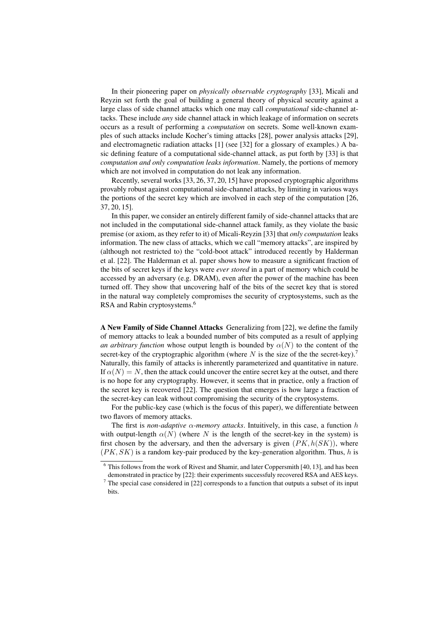In their pioneering paper on *physically observable cryptography* [33], Micali and Reyzin set forth the goal of building a general theory of physical security against a large class of side channel attacks which one may call *computational* side-channel attacks. These include *any* side channel attack in which leakage of information on secrets occurs as a result of performing a *computation* on secrets. Some well-known examples of such attacks include Kocher's timing attacks [28], power analysis attacks [29], and electromagnetic radiation attacks [1] (see [32] for a glossary of examples.) A basic defining feature of a computational side-channel attack, as put forth by [33] is that *computation and only computation leaks information*. Namely, the portions of memory which are not involved in computation do not leak any information.

Recently, several works [33, 26, 37, 20, 15] have proposed cryptographic algorithms provably robust against computational side-channel attacks, by limiting in various ways the portions of the secret key which are involved in each step of the computation [26, 37, 20, 15].

In this paper, we consider an entirely different family of side-channel attacks that are not included in the computational side-channel attack family, as they violate the basic premise (or axiom, as they refer to it) of Micali-Reyzin [33] that *only computation* leaks information. The new class of attacks, which we call "memory attacks", are inspired by (although not restricted to) the "cold-boot attack" introduced recently by Halderman et al. [22]. The Halderman et al. paper shows how to measure a significant fraction of the bits of secret keys if the keys were *ever stored* in a part of memory which could be accessed by an adversary (e.g. DRAM), even after the power of the machine has been turned off. They show that uncovering half of the bits of the secret key that is stored in the natural way completely compromises the security of cryptosystems, such as the RSA and Rabin cryptosystems.<sup>6</sup>

A New Family of Side Channel Attacks Generalizing from [22], we define the family of memory attacks to leak a bounded number of bits computed as a result of applying *an arbitrary function* whose output length is bounded by  $\alpha(N)$  to the content of the secret-key of the cryptographic algorithm (where  $N$  is the size of the the secret-key).<sup>7</sup> Naturally, this family of attacks is inherently parameterized and quantitative in nature. If  $\alpha(N) = N$ , then the attack could uncover the entire secret key at the outset, and there is no hope for any cryptography. However, it seems that in practice, only a fraction of the secret key is recovered [22]. The question that emerges is how large a fraction of the secret-key can leak without compromising the security of the cryptosystems.

For the public-key case (which is the focus of this paper), we differentiate between two flavors of memory attacks.

The first is *non-adaptive*  $\alpha$ *-memory attacks*. Intuitively, in this case, a function h with output-length  $\alpha(N)$  (where N is the length of the secret-key in the system) is first chosen by the adversary, and then the adversary is given  $(PK, h(SK))$ , where  $(PK, SK)$  is a random key-pair produced by the key-generation algorithm. Thus, h is

 $6$  This follows from the work of Rivest and Shamir, and later Coppersmith [40, 13], and has been demonstrated in practice by [22]: their experiments successfuly recovered RSA and AES keys.

<sup>7</sup> The special case considered in [22] corresponds to a function that outputs a subset of its input bits.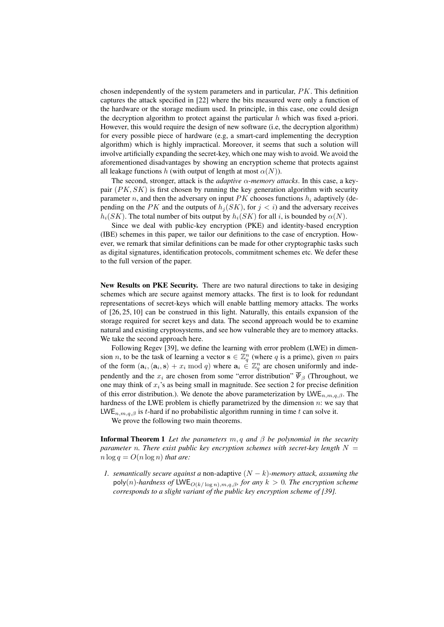chosen independently of the system parameters and in particular, PK. This definition captures the attack specified in [22] where the bits measured were only a function of the hardware or the storage medium used. In principle, in this case, one could design the decryption algorithm to protect against the particular  $h$  which was fixed a-priori. However, this would require the design of new software (i.e, the decryption algorithm) for every possible piece of hardware (e.g, a smart-card implementing the decryption algorithm) which is highly impractical. Moreover, it seems that such a solution will involve artificially expanding the secret-key, which one may wish to avoid. We avoid the aforementioned disadvantages by showing an encryption scheme that protects against all leakage functions h (with output of length at most  $\alpha(N)$ ).

The second, stronger, attack is the *adaptive*  $\alpha$ -*memory attacks*. In this case, a keypair  $(PK, SK)$  is first chosen by running the key generation algorithm with security parameter n, and then the adversary on input  $PK$  chooses functions  $h_i$  adaptively (depending on the PK and the outputs of  $h_j(SK)$ , for  $j < i$ ) and the adversary receives  $h_i(SK)$ . The total number of bits output by  $h_i(SK)$  for all i, is bounded by  $\alpha(N)$ .

Since we deal with public-key encryption (PKE) and identity-based encryption (IBE) schemes in this paper, we tailor our definitions to the case of encryption. However, we remark that similar definitions can be made for other cryptographic tasks such as digital signatures, identification protocols, commitment schemes etc. We defer these to the full version of the paper.

New Results on PKE Security. There are two natural directions to take in desiging schemes which are secure against memory attacks. The first is to look for redundant representations of secret-keys which will enable battling memory attacks. The works of [26, 25, 10] can be construed in this light. Naturally, this entails expansion of the storage required for secret keys and data. The second approach would be to examine natural and existing cryptosystems, and see how vulnerable they are to memory attacks. We take the second approach here.

Following Regev [39], we define the learning with error problem (LWE) in dimension *n*, to be the task of learning a vector  $\mathbf{s} \in \mathbb{Z}_q^n$  (where q is a prime), given m pairs of the form  $(a_i, \langle a_i, s \rangle + x_i \mod q)$  where  $a_i \in \mathbb{Z}_q^n$  are chosen uniformly and independently and the  $x_i$  are chosen from some "error distribution"  $\overline{\Psi}_{\beta}$  (Throughout, we one may think of  $x_i$ 's as being small in magnitude. See section 2 for precise definition of this error distribution.). We denote the above parameterization by  $\mathsf{LWE}_{n,m,q,\beta}$ . The hardness of the LWE problem is chiefly parametrized by the dimension  $n$ : we say that LWE<sub>n,m,q, $\beta$ </sub> is t-hard if no probabilistic algorithm running in time t can solve it.

We prove the following two main theorems.

Informal Theorem 1 *Let the parameters* m, q *and* β *be polynomial in the security parameter n.* There exist public key encryption schemes with secret-key length  $N =$  $n \log q = O(n \log n)$  *that are:* 

*1. semantically secure against a* non-adaptive (N − k)*-memory attack, assuming the* poly(n)-hardness of  $\text{LWE}_{O(k/\log n), m, q, \beta}$ *, for any*  $k > 0$ *. The encryption scheme corresponds to a slight variant of the public key encryption scheme of [39].*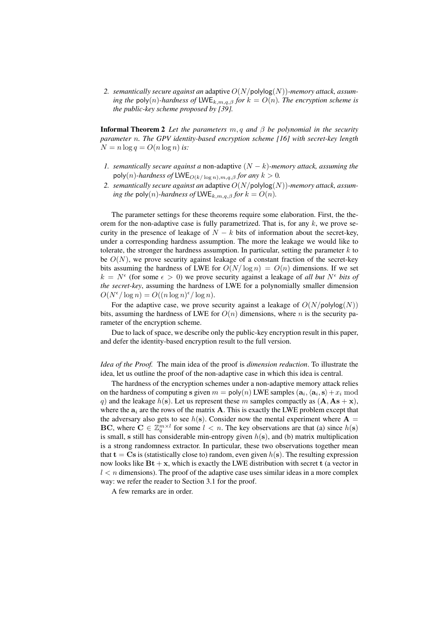*2. semantically secure against an* adaptive O(N/polylog(N))*-memory attack, assuming the* poly(n)-hardness of LWE<sub>k,m,q, $\beta$  for  $k = O(n)$ . The encryption scheme is</sub> *the public-key scheme proposed by [39].*

Informal Theorem 2 *Let the parameters* m, q *and* β *be polynomial in the security parameter* n*. The GPV identity-based encryption scheme [16] with secret-key length*  $N = n \log q = O(n \log n)$  *is:* 

- *1. semantically secure against a* non-adaptive (N − k)*-memory attack, assuming the* poly(n)-hardness of  $LWE_{O(k/\log n), m,q,\beta}$  for any  $k > 0$ .
- *2. semantically secure against an* adaptive O(N/polylog(N))*-memory attack, assuming the* poly(*n*)-*hardness of* LWE<sub>k,m,a,β</sub> *for*  $k = O(n)$ .

The parameter settings for these theorems require some elaboration. First, the theorem for the non-adaptive case is fully parametrized. That is, for any  $k$ , we prove security in the presence of leakage of  $N - k$  bits of information about the secret-key, under a corresponding hardness assumption. The more the leakage we would like to tolerate, the stronger the hardness assumption. In particular, setting the parameter  $k$  to be  $O(N)$ , we prove security against leakage of a constant fraction of the secret-key bits assuming the hardness of LWE for  $O(N/\log n) = O(n)$  dimensions. If we set  $k = N^{\epsilon}$  (for some  $\epsilon > 0$ ) we prove security against a leakage of *all but*  $N^{\epsilon}$  *bits of the secret-key*, assuming the hardness of LWE for a polynomially smaller dimension  $O(N^{\epsilon}/\log n) = O((n \log n)^{\epsilon}/\log n).$ 

For the adaptive case, we prove security against a leakage of  $O(N/\text{polylog}(N))$ bits, assuming the hardness of LWE for  $O(n)$  dimensions, where n is the security parameter of the encryption scheme.

Due to lack of space, we describe only the public-key encryption result in this paper, and defer the identity-based encryption result to the full version.

*Idea of the Proof.* The main idea of the proof is *dimension reduction*. To illustrate the idea, let us outline the proof of the non-adaptive case in which this idea is central.

The hardness of the encryption schemes under a non-adaptive memory attack relies on the hardness of computing  $\mathbf{s}$  given  $m = \mathsf{poly}(n)$  LWE samples  $(\mathbf{a}_i, \langle \mathbf{a}_i, \mathbf{s} \rangle + x_i \bmod n)$ q) and the leakage  $h(s)$ . Let us represent these m samples compactly as  $(A, As + x)$ , where the  $a_i$  are the rows of the matrix **A**. This is exactly the LWE problem except that the adversary also gets to see  $h(s)$ . Consider now the mental experiment where  $A =$ **BC**, where  $C \in \mathbb{Z}_q^{m \times l}$  for some  $l < n$ . The key observations are that (a) since  $h(s)$ is small, s still has considerable min-entropy given  $h(s)$ , and (b) matrix multiplication is a strong randomness extractor. In particular, these two observations together mean that  $t = Cs$  is (statistically close to) random, even given  $h(s)$ . The resulting expression now looks like  $Bt + x$ , which is exactly the LWE distribution with secret t (a vector in  $l < n$  dimensions). The proof of the adaptive case uses similar ideas in a more complex way: we refer the reader to Section 3.1 for the proof.

A few remarks are in order.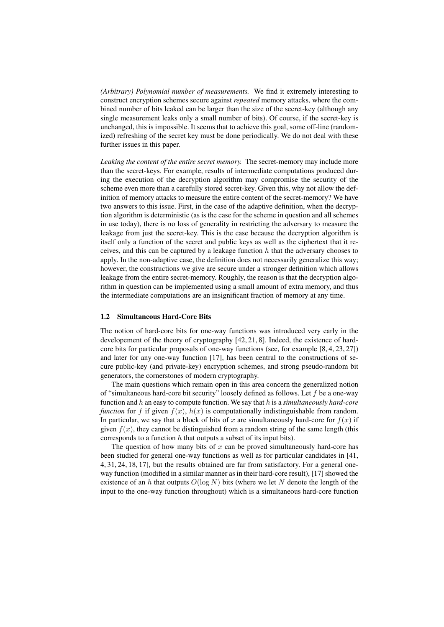*(Arbitrary) Polynomial number of measurements.* We find it extremely interesting to construct encryption schemes secure against *repeated* memory attacks, where the combined number of bits leaked can be larger than the size of the secret-key (although any single measurement leaks only a small number of bits). Of course, if the secret-key is unchanged, this is impossible. It seems that to achieve this goal, some off-line (randomized) refreshing of the secret key must be done periodically. We do not deal with these further issues in this paper.

*Leaking the content of the entire secret memory.* The secret-memory may include more than the secret-keys. For example, results of intermediate computations produced during the execution of the decryption algorithm may compromise the security of the scheme even more than a carefully stored secret-key. Given this, why not allow the definition of memory attacks to measure the entire content of the secret-memory? We have two answers to this issue. First, in the case of the adaptive definition, when the decryption algorithm is deterministic (as is the case for the scheme in question and all schemes in use today), there is no loss of generality in restricting the adversary to measure the leakage from just the secret-key. This is the case because the decryption algorithm is itself only a function of the secret and public keys as well as the ciphertext that it receives, and this can be captured by a leakage function  $h$  that the adversary chooses to apply. In the non-adaptive case, the definition does not necessarily generalize this way; however, the constructions we give are secure under a stronger definition which allows leakage from the entire secret-memory. Roughly, the reason is that the decryption algorithm in question can be implemented using a small amount of extra memory, and thus the intermediate computations are an insignificant fraction of memory at any time.

#### 1.2 Simultaneous Hard-Core Bits

The notion of hard-core bits for one-way functions was introduced very early in the developement of the theory of cryptography [42, 21, 8]. Indeed, the existence of hardcore bits for particular proposals of one-way functions (see, for example [8, 4, 23, 27]) and later for any one-way function [17], has been central to the constructions of secure public-key (and private-key) encryption schemes, and strong pseudo-random bit generators, the cornerstones of modern cryptography.

The main questions which remain open in this area concern the generalized notion of "simultaneous hard-core bit security" loosely defined as follows. Let  $f$  be a one-way function and h an easy to compute function. We say that h is a *simultaneously hard-core function* for f if given  $f(x)$ ,  $h(x)$  is computationally indistinguishable from random. In particular, we say that a block of bits of x are simultaneously hard-core for  $f(x)$  if given  $f(x)$ , they cannot be distinguished from a random string of the same length (this corresponds to a function  $h$  that outputs a subset of its input bits).

The question of how many bits of  $x$  can be proved simultaneously hard-core has been studied for general one-way functions as well as for particular candidates in [41, 4, 31, 24, 18, 17], but the results obtained are far from satisfactory. For a general oneway function (modified in a similar manner as in their hard-core result), [17] showed the existence of an h that outputs  $O(\log N)$  bits (where we let N denote the length of the input to the one-way function throughout) which is a simultaneous hard-core function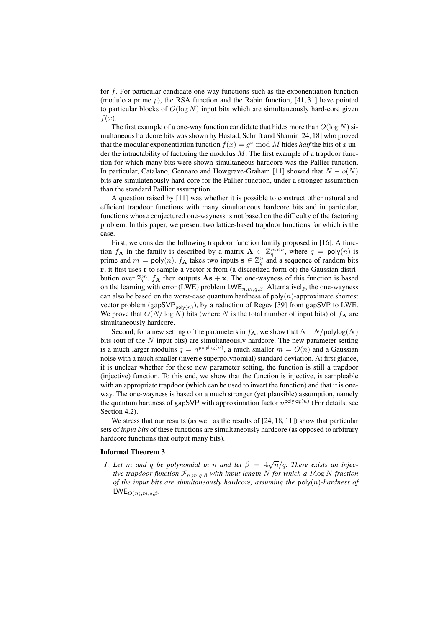for  $f$ . For particular candidate one-way functions such as the exponentiation function (modulo a prime  $p$ ), the RSA function and the Rabin function, [41, 31] have pointed to particular blocks of  $O(\log N)$  input bits which are simultaneously hard-core given  $f(x)$ .

The first example of a one-way function candidate that hides more than  $O(\log N)$  simultaneous hardcore bits was shown by Hastad, Schrift and Shamir [24, 18] who proved that the modular exponentiation function  $f(x) = g^x \mod M$  hides *half* the bits of x under the intractability of factoring the modulus  $M$ . The first example of a trapdoor function for which many bits were shown simultaneous hardcore was the Pallier function. In particular, Catalano, Gennaro and Howgrave-Graham [11] showed that  $N - o(N)$ bits are simulatenously hard-core for the Pallier function, under a stronger assumption than the standard Paillier assumption.

A question raised by [11] was whether it is possible to construct other natural and efficient trapdoor functions with many simultaneous hardcore bits and in particular, functions whose conjectured one-wayness is not based on the difficulty of the factoring problem. In this paper, we present two lattice-based trapdoor functions for which is the case.

First, we consider the following trapdoor function family proposed in [16]. A function  $f_{\mathbf{A}}$  in the family is described by a matrix  $\mathbf{A} \in \mathbb{Z}_q^{m \times n}$ , where  $q = \text{poly}(n)$  is prime and  $m = \text{poly}(n)$ .  $f_A$  takes two inputs  $s \in \mathbb{Z}_q^n$  and a sequence of random bits r; it first uses r to sample a vector x from (a discretized form of) the Gaussian distribution over  $\mathbb{Z}_q^m$ .  $f_A$  then outputs  $\mathbf{A}\mathbf{s} + \mathbf{x}$ . The one-wayness of this function is based on the learning with error (LWE) problem  $\mathsf{LWE}_{n,m,q,\beta}$ . Alternatively, the one-wayness can also be based on the worst-case quantum hardness of  $poly(n)$ -approximate shortest vector problem (gapSVP<sub>poly(n)</sub>), by a reduction of Regev [39] from gapSVP to LWE. We prove that  $O(N/\log N)$  bits (where N is the total number of input bits) of  $f_{\bf A}$  are simultaneously hardcore.

Second, for a new setting of the parameters in  $f_A$ , we show that  $N - N/p$ olylog(N) bits (out of the  $N$  input bits) are simultaneously hardcore. The new parameter setting is a much larger modulus  $q = n^{\text{polylog}(n)}$ , a much smaller  $m = O(n)$  and a Gaussian noise with a much smaller (inverse superpolynomial) standard deviation. At first glance, it is unclear whether for these new parameter setting, the function is still a trapdoor (injective) function. To this end, we show that the function is injective, is sampleable with an appropriate trapdoor (which can be used to invert the function) and that it is oneway. The one-wayness is based on a much stronger (yet plausible) assumption, namely the quantum hardness of gapSVP with approximation factor  $n^{\text{polylog}(n)}$  (For details, see Section 4.2).

We stress that our results (as well as the results of [24, 18, 11]) show that particular sets of *input bits* of these functions are simultaneously hardcore (as opposed to arbitrary hardcore functions that output many bits).

#### Informal Theorem 3

*1. Let* m and q be polynomial in n and let  $\beta = 4\sqrt{n}/q$ . There exists an injec*tive trapdoor function*  $\mathcal{F}_{n,m,q,\beta}$  *with input length* N *for which a 1*/log N *fraction of the input bits are simultaneously hardcore, assuming the* poly(n)*-hardness of* LWE<sub> $O(n), m, q, \beta$ <sup>.</sup></sub>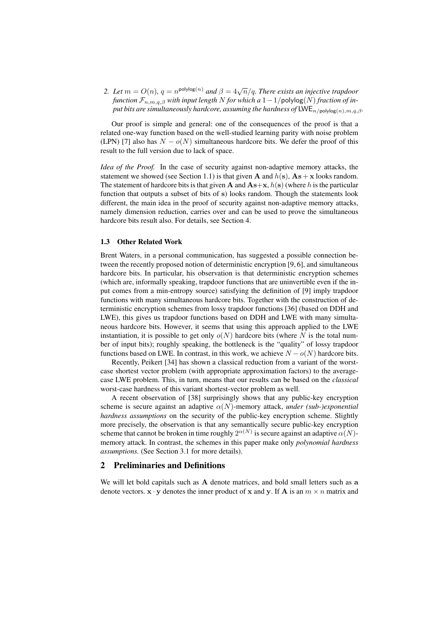2. Let  $m = O(n)$ ,  $q = n^{\text{polylog}(n)}$  and  $\beta = 4\sqrt{n}/q$ . There exists an injective trapdoor *function*  $\mathcal{F}_{n,m,q,\beta}$  *with input length* N *for which a* 1 - 1/polylog(N) *fraction of input bits are simultaneously hardcore, assuming the hardness of* LWE<sub>n/polylog(n),m,q, $\beta$ .</sub>

Our proof is simple and general: one of the consequences of the proof is that a related one-way function based on the well-studied learning parity with noise problem (LPN) [7] also has  $N - o(N)$  simultaneous hardcore bits. We defer the proof of this result to the full version due to lack of space.

*Idea of the Proof.* In the case of security against non-adaptive memory attacks, the statement we showed (see Section 1.1) is that given **A** and  $h(s)$ , **As** + **x** looks random. The statement of hardcore bits is that given **A** and  $\mathbf{As}+\mathbf{x}$ ,  $h(\mathbf{s})$  (where h is the particular function that outputs a subset of bits of s) looks random. Though the statements look different, the main idea in the proof of security against non-adaptive memory attacks, namely dimension reduction, carries over and can be used to prove the simultaneous hardcore bits result also. For details, see Section 4.

#### 1.3 Other Related Work

Brent Waters, in a personal communication, has suggested a possible connection between the recently proposed notion of deterministic encryption [9, 6], and simultaneous hardcore bits. In particular, his observation is that deterministic encryption schemes (which are, informally speaking, trapdoor functions that are uninvertible even if the input comes from a min-entropy source) satisfying the definition of [9] imply trapdoor functions with many simultaneous hardcore bits. Together with the construction of deterministic encryption schemes from lossy trapdoor functions [36] (based on DDH and LWE), this gives us trapdoor functions based on DDH and LWE with many simultaneous hardcore bits. However, it seems that using this approach applied to the LWE instantiation, it is possible to get only  $o(N)$  hardcore bits (where N is the total number of input bits); roughly speaking, the bottleneck is the "quality" of lossy trapdoor functions based on LWE. In contrast, in this work, we achieve  $N - o(N)$  hardcore bits.

Recently, Peikert [34] has shown a classical reduction from a variant of the worstcase shortest vector problem (with appropriate approximation factors) to the averagecase LWE problem. This, in turn, means that our results can be based on the *classical* worst-case hardness of this variant shortest-vector problem as well.

A recent observation of [38] surprisingly shows that any public-key encryption scheme is secure against an adaptive  $\alpha(N)$ -memory attack, *under (sub-)exponential hardness assumptions* on the security of the public-key encryption scheme. Slightly more precisely, the observation is that any semantically secure public-key encryption scheme that cannot be broken in time roughly  $2^{\alpha(N)}$  is secure against an adaptive  $\alpha(N)$ memory attack. In contrast, the schemes in this paper make only *polynomial hardness assumptions.* (See Section 3.1 for more details).

#### 2 Preliminaries and Definitions

We will let bold capitals such as  $A$  denote matrices, and bold small letters such as  $a$ denote vectors.  $x \cdot y$  denotes the inner product of x and y. If A is an  $m \times n$  matrix and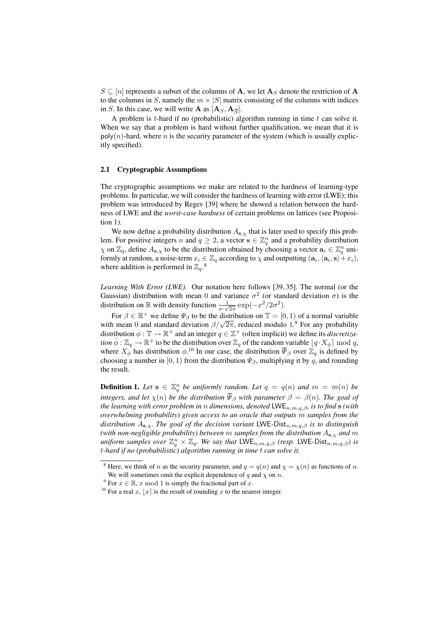$S \subseteq [n]$  represents a subset of the columns of **A**, we let  $A_S$  denote the restriction of **A** to the columns in S, namely the  $m \times |S|$  matrix consisting of the columns with indices in S. In this case, we will write **A** as  $[\mathbf{A}_S, \mathbf{A}_{\overline{S}}]$ .

A problem is  $t$ -hard if no (probabilistic) algorithm running in time  $t$  can solve it. When we say that a problem is hard without further qualification, we mean that it is  $\mathsf{poly}(n)$ -hard, where n is the security parameter of the system (which is usually explicitly specified).

#### 2.1 Cryptographic Assumptions

The cryptographic assumptions we make are related to the hardness of learning-type problems. In particular, we will consider the hardness of learning with error (LWE); this problem was introduced by Regev [39] where he showed a relation between the hardness of LWE and the *worst-case hardness* of certain problems on lattices (see Proposition 1).

We now define a probability distribution  $A_{s,\chi}$  that is later used to specify this problem. For positive integers n and  $q \geq 2$ , a vector  $\mathbf{s} \in \mathbb{Z}_q^n$  and a probability distribution  $\chi$  on  $\mathbb{Z}_q$ , define  $A_{s,\chi}$  to be the distribution obtained by choosing a vector  $a_i \in \mathbb{Z}_q^n$  uniformly at random, a noise-term  $x_i \in \mathbb{Z}_q$  according to  $\chi$  and outputting  $(\mathbf{a}_i, \langle \mathbf{a}_i, \mathbf{s} \rangle + x_i)$ , where addition is performed in  $\mathbb{Z}_q$ .<sup>8</sup>

*Learning With Error (LWE).* Our notation here follows [39, 35]. The normal (or the Gaussian) distribution with mean 0 and variance  $\sigma^2$  (or standard deviation  $\sigma$ ) is the distribution on  $\mathbb R$  with density function  $\frac{1}{\sigma \cdot \sqrt{2\pi}} \exp(-x^2/2\sigma^2)$ .

For  $\beta \in \mathbb{R}^+$  we define  $\Psi_\beta$  to be the distribution on  $\mathbb{T} = [0, 1)$  of a normal variable For  $\beta \in \mathbb{R}^+$  we define  $\Psi_\beta$  to be the distribution on  $\mathbb{I} = [0, 1)$  of a normal variable<br>with mean 0 and standard deviation  $\beta/\sqrt{2\pi}$ , reduced modulo 1.9 For any probability distribution  $\phi : \mathbb{T} \to \mathbb{R}^+$  and an integer  $q \in \mathbb{Z}^+$  (often implicit) we define its *discretization*  $\bar{\phi}: \mathbb{Z}_q \to \mathbb{R}^+$  to be the distribution over  $\mathbb{Z}_q$  of the random variable  $\lfloor q \cdot X_{\phi} \rceil \bmod q$ , where  $X_{\phi}$  has distribution  $\phi$ .<sup>10</sup> In our case, the distribution  $\overline{\Psi}_{\beta}$  over  $\overline{\mathbb{Z}}_q$  is defined by choosing a number in [0, 1) from the distribution  $\Psi_{\beta}$ , multiplying it by q, and rounding the result.

**Definition 1.** Let  $s \in \mathbb{Z}_q^n$  be uniformly random. Let  $q = q(n)$  and  $m = m(n)$  be *integers, and let*  $\chi(n)$  *be the distribution*  $\overline{\Psi}_{\beta}$  *with parameter*  $\beta = \beta(n)$ *. The goal of the learning with error problem in n dimensions, denoted* LWE<sub>n,m,q,β</sub>, *is to find* **s** *(with overwhelming probability) given access to an oracle that outputs* m *samples from the distribution*  $A_{s,x}$ *. The goal of the decision variant* LWE-Dist $_{n,m,q,\beta}$  *is to distinguish (with non-negligible probability) between* m *samples from the distribution* As,χ *and* m  $n$ uniform samples over  $\mathbb{Z}_q^n\times\mathbb{Z}_q$ . We say that  $\mathsf{LWE}_{n,m,q,\beta}$  *(resp.* LWE-Dist $\overline{n,m,q,\beta}$ ) is t*-hard if no (probabilistic) algorithm running in time* t *can solve it.*

<sup>&</sup>lt;sup>8</sup> Here, we think of *n* as the security parameter, and  $q = q(n)$  and  $\chi = \chi(n)$  as functions of *n*. We will sometimes omit the explicit dependence of q and  $\chi$  on n.

<sup>&</sup>lt;sup>9</sup> For  $x \in \mathbb{R}$ , x mod 1 is simply the fractional part of x.

<sup>&</sup>lt;sup>10</sup> For a real x, |x| is the result of rounding x to the nearest integer.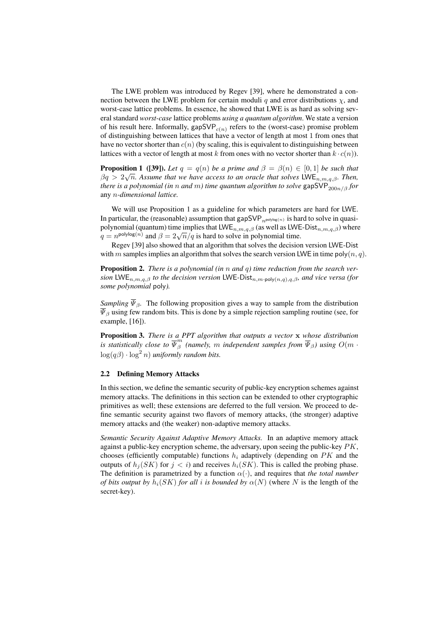The LWE problem was introduced by Regev [39], where he demonstrated a connection between the LWE problem for certain moduli q and error distributions  $\chi$ , and worst-case lattice problems. In essence, he showed that LWE is as hard as solving several standard *worst-case* lattice problems *using a quantum algorithm*. We state a version of his result here. Informally,  $\mathsf{gapSVP}_{c(n)}$  refers to the (worst-case) promise problem of distinguishing between lattices that have a vector of length at most 1 from ones that have no vector shorter than  $c(n)$  (by scaling, this is equivalent to distinguishing between lattices with a vector of length at most k from ones with no vector shorter than  $k \cdot c(n)$ .

**Proposition 1** ([39]). Let  $q = q(n)$  be a prime and  $\beta = \beta(n) \in [0,1]$  be such that  $\beta q > 2\sqrt{n}$ . Assume that we have access to an oracle that solves  $\mathsf{LWE}_{n,m,q,\beta}$ . Then, *there is a polynomial (in n and m) time quantum algorithm to solve* gapSVP<sub>200n/β</sub> *for* any n*-dimensional lattice.*

We will use Proposition 1 as a guideline for which parameters are hard for LWE. In particular, the (reasonable) assumption that gapSVP<sub>npolylog(n)</sub> is hard to solve in quasipolynomial (quantum) time implies that  $LWE_{n,m,q,\beta}$  (as well as LWE-Dist $_{n,m,q,\beta}$ ) where polynomial (quantum) time implies that  $\text{Lv} \in_{n,m,q,\beta}$  (as well as  $\text{Lv} \in q = n^{\text{polylog}(n)}$  and  $\beta = 2\sqrt{n}/q$  is hard to solve in polynomial time.

Regev [39] also showed that an algorithm that solves the decision version LWE-Dist with m samples implies an algorithm that solves the search version LWE in time poly $(n, q)$ .

Proposition 2. *There is a polynomial (in* n *and* q*) time reduction from the search version* LWE<sub>n,m,q, $\beta$  *to the decision version* LWE-Dist<sub>n,m·poly(n,q),q, $\beta$ *, and vice versa (for*</sub></sub> *some polynomial* poly*).*

*Sampling*  $\overline{\Psi}_{\beta}$ . The following proposition gives a way to sample from the distribution  $\Psi_\beta$  using few random bits. This is done by a simple rejection sampling routine (see, for example, [16]).

Proposition 3. *There is a PPT algorithm that outputs a vector* x *whose distribution is statistically close to*  $\overline{\Psi}_{\beta}^{m}$  $\frac{m}{\beta}$  (namely,  $m$  independent samples from  $\Psi_{\beta}$ ) using  $O(m \cdot m)$  $\log(q\beta) \cdot \log^2 n)$  *uniformly random bits.* 

#### 2.2 Defining Memory Attacks

In this section, we define the semantic security of public-key encryption schemes against memory attacks. The definitions in this section can be extended to other cryptographic primitives as well; these extensions are deferred to the full version. We proceed to define semantic security against two flavors of memory attacks, (the stronger) adaptive memory attacks and (the weaker) non-adaptive memory attacks.

*Semantic Security Against Adaptive Memory Attacks.* In an adaptive memory attack against a public-key encryption scheme, the adversary, upon seeing the public-key  $PK$ , chooses (efficiently computable) functions  $h_i$  adaptively (depending on PK and the outputs of  $h_i(SK)$  for  $j < i$ ) and receives  $h_i(SK)$ . This is called the probing phase. The definition is parametrized by a function  $\alpha(\cdot)$ , and requires that *the total number of bits output by*  $h_i(SK)$  *for all i is bounded by*  $\alpha(N)$  (where N is the length of the secret-key).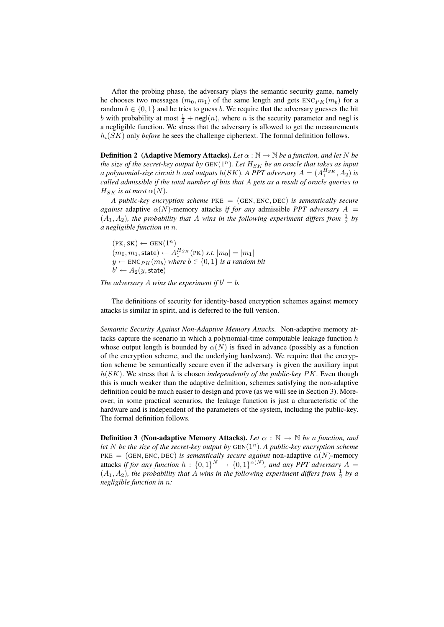After the probing phase, the adversary plays the semantic security game, namely he chooses two messages  $(m_0, m_1)$  of the same length and gets  $ENCPK(m_b)$  for a random  $b \in \{0, 1\}$  and he tries to guess b. We require that the adversary guesses the bit b with probability at most  $\frac{1}{2}$  + negl(n), where n is the security parameter and negl is a negligible function. We stress that the adversary is allowed to get the measurements  $h_i(SK)$  only *before* he sees the challenge ciphertext. The formal definition follows.

**Definition 2** (Adaptive Memory Attacks). Let  $\alpha : \mathbb{N} \to \mathbb{N}$  be a function, and let N be *the size of the secret-key output by* GEN( $1<sup>n</sup>$ )*. Let*  $H_{SK}$  *be an oracle that takes as input a polynomial-size circuit* h *and outputs*  $h(SK)$ . A PPT adversary  $A = (A_1^{H_{SK}}, A_2)$  is *called admissible if the total number of bits that* A *gets as a result of oracle queries to*  $H_{SK}$  *is at most*  $\alpha(N)$ *.* 

*A public-key encryption scheme* PKE = (GEN, ENC, DEC) *is semantically secure against* adaptive  $\alpha(N)$ -memory attacks *if for any* admissible *PPT adversary*  $A =$  $(A_1, A_2)$ , the probability that A wins in the following experiment differs from  $\frac{1}{2}$  by *a negligible function in* n*.*

$$
(\text{PK}, \text{SK}) \leftarrow \text{GEN}(1^n)
$$
  
\n
$$
(m_0, m_1, \text{state}) \leftarrow A_1^{H_{SK}}(\text{PK}) \text{ s.t. } |m_0| = |m_1|
$$
  
\n
$$
y \leftarrow \text{ENC}_{PK}(m_b) \text{ where } b \in \{0, 1\} \text{ is a random bit}
$$
  
\n
$$
b' \leftarrow A_2(y, \text{state})
$$

*The adversary* A wins the experiment if  $b' = b$ .

The definitions of security for identity-based encryption schemes against memory attacks is similar in spirit, and is deferred to the full version.

*Semantic Security Against Non-Adaptive Memory Attacks.* Non-adaptive memory attacks capture the scenario in which a polynomial-time computable leakage function  $h$ whose output length is bounded by  $\alpha(N)$  is fixed in advance (possibly as a function of the encryption scheme, and the underlying hardware). We require that the encryption scheme be semantically secure even if the adversary is given the auxiliary input h(SK). We stress that h is chosen *independently of the public-key* PK. Even though this is much weaker than the adaptive definition, schemes satisfying the non-adaptive definition could be much easier to design and prove (as we will see in Section 3). Moreover, in some practical scenarios, the leakage function is just a characteristic of the hardware and is independent of the parameters of the system, including the public-key. The formal definition follows.

**Definition 3 (Non-adaptive Memory Attacks).** *Let*  $\alpha : \mathbb{N} \to \mathbb{N}$  *be a function, and let* N *be the size of the secret-key output by*  $GEN(1^n)$ *. A public-key encryption scheme*  $PKE = (GEN, ENC, DEC)$  *is semantically secure against* non-adaptive  $\alpha(N)$ -memory attacks *if for any function*  $h: \{0,1\}^N \rightarrow \{0,1\}^{\alpha(N)}$ , and any PPT adversary  $A =$  $(A_1, A_2)$ , the probability that A wins in the following experiment differs from  $\frac{1}{2}$  by a *negligible function in* n*:*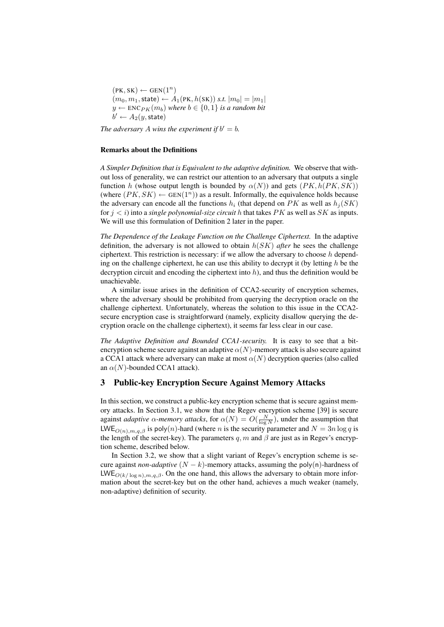$(PK, SK) \leftarrow GEN(1^n)$  $(m_0, m_1, \text{state}) \leftarrow A_1(\text{PK}, h(\text{SK})) \text{ s.t. } |m_0| = |m_1|$  $y \leftarrow \text{ENC}_{PK}(m_b)$  where  $b \in \{0, 1\}$  *is a random bit*  $b' \leftarrow A_2(y, \textsf{state})$ 

The adversary A wins the experiment if  $b' = b$ .

#### Remarks about the Definitions

*A Simpler Definition that is Equivalent to the adaptive definition.* We observe that without loss of generality, we can restrict our attention to an adversary that outputs a single function h (whose output length is bounded by  $\alpha(N)$ ) and gets  $(PK, h(PK, SK))$ (where  $(PK, SK) \leftarrow$  GEN $(1^n)$ ) as a result. Informally, the equivalence holds because the adversary can encode all the functions  $h_i$  (that depend on PK as well as  $h_i(SK)$ for  $j < i$ ) into a *single polynomial-size circuit* h that takes  $PK$  as well as  $SK$  as inputs. We will use this formulation of Definition 2 later in the paper.

*The Dependence of the Leakage Function on the Challenge Ciphertext.* In the adaptive definition, the adversary is not allowed to obtain h(SK) *after* he sees the challenge ciphertext. This restriction is necessary: if we allow the adversary to choose  $h$  depending on the challenge ciphertext, he can use this ability to decrypt it (by letting  $h$  be the decryption circuit and encoding the ciphertext into  $h$ ), and thus the definition would be unachievable.

A similar issue arises in the definition of CCA2-security of encryption schemes, where the adversary should be prohibited from querying the decryption oracle on the challenge ciphertext. Unfortunately, whereas the solution to this issue in the CCA2 secure encryption case is straightforward (namely, explicity disallow querying the decryption oracle on the challenge ciphertext), it seems far less clear in our case.

*The Adaptive Definition and Bounded CCA1-security.* It is easy to see that a bitencryption scheme secure against an adaptive  $\alpha(N)$ -memory attack is also secure against a CCA1 attack where adversary can make at most  $\alpha(N)$  decryption queries (also called an  $\alpha(N)$ -bounded CCA1 attack).

## 3 Public-key Encryption Secure Against Memory Attacks

In this section, we construct a public-key encryption scheme that is secure against memory attacks. In Section 3.1, we show that the Regev encryption scheme [39] is secure against *adaptive*  $\alpha$ -memory attacks, for  $\alpha(N) = O(\frac{N}{\log N})$ , under the assumption that LWE<sub>O(n),m,q, $\beta$ </sub> is poly(n)-hard (where n is the security parameter and  $N = 3n \log q$  is the length of the secret-key). The parameters  $q, m$  and  $\beta$  are just as in Regev's encryption scheme, described below.

In Section 3.2, we show that a slight variant of Regev's encryption scheme is secure against *non-adaptive*  $(N - k)$ -memory attacks, assuming the poly(n)-hardness of LWE<sub>O(k/log n),m,q,β</sub>. On the one hand, this allows the adversary to obtain more information about the secret-key but on the other hand, achieves a much weaker (namely, non-adaptive) definition of security.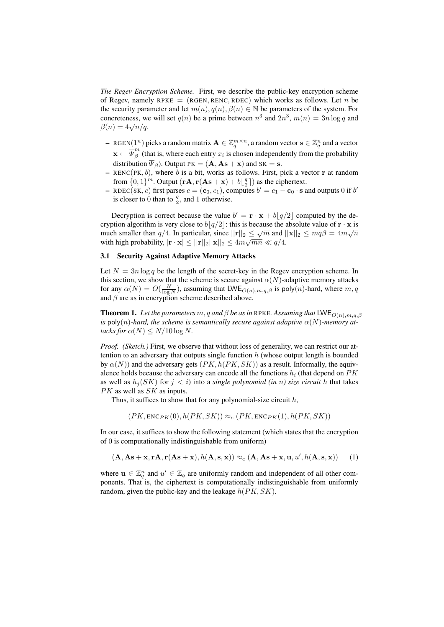*The Regev Encryption Scheme.* First, we describe the public-key encryption scheme of Regev, namely RPKE = (RGEN, RENC, RDEC) which works as follows. Let n be the security parameter and let  $m(n)$ ,  $q(n)$ ,  $\beta(n) \in \mathbb{N}$  be parameters of the system. For concreteness, we will set  $q(n)$  be a prime between  $n^3$  and  $2n^3$ ,  $m(n) = 3n \log q$  and Concreteness, we<br> $\beta(n) = 4\sqrt{n}/q$ .

- RGEN $(1^n)$  picks a random matrix  $\mathbf{A} \in \mathbb{Z}_q^{m \times n}$ , a random vector  $\mathbf{s} \in \mathbb{Z}_q^n$  and a vector  $\mathbf{x} \leftarrow \overline{\mathbf{\Psi}}_{\beta}^{m}$  $\int_{\beta}^{m}$  (that is, where each entry  $x_i$  is chosen independently from the probability distribution  $\overline{\Psi}_{\beta}$ ). Output PK =  $(A, As + x)$  and SK = s.
- RENC(PK, b), where b is a bit, works as follows. First, pick a vector r at random from  $\{0,1\}^m$ . Output  $(\mathbf{r}\mathbf{A}, \mathbf{r}(\mathbf{A}\mathbf{s} + \mathbf{x}) + b\lfloor \frac{q}{2} \rfloor)$  as the ciphertext.
- RDEC(SK, c) first parses  $c = (\mathbf{c}_0, c_1)$ , computes  $b' = c_1 \mathbf{c}_0 \cdot \mathbf{s}$  and outputs 0 if b' is closer to 0 than to  $\frac{q}{2}$ , and 1 otherwise.

Decryption is correct because the value  $b' = \mathbf{r} \cdot \mathbf{x} + b\lfloor q/2 \rfloor$  computed by the decryption algorithm is very close to  $b|q/2|$ : this is because the absolute value of  $\mathbf{r} \cdot \mathbf{x}$  is Exploring algorithm is very close to  $v[q/2]$ . Inis is because the absolute value of  $\mathbf{r} \cdot \mathbf{x}$  is<br>much smaller than  $q/4$ . In particular, since  $||\mathbf{r}||_2 \le \sqrt{m}$  and  $||\mathbf{x}||_2 \le mq\beta = 4m\sqrt{n}$ with high probability,  $|{\bf r} \cdot {\bf x}| \leq ||{\bf r}||_2 ||{\bf x}||_2 \leq 4 m \sqrt{mn} \ll q/4.$ 

## 3.1 Security Against Adaptive Memory Attacks

Let  $N = 3n \log q$  be the length of the secret-key in the Regev encryption scheme. In this section, we show that the scheme is secure against  $\alpha(N)$ -adaptive memory attacks for any  $\alpha(N) = O(\frac{N}{\log N})$ , assuming that  $\mathsf{LWE}_{O(n), m, q, \beta}$  is poly $(n)$ -hard, where  $m, q$ and  $\beta$  are as in encryption scheme described above.

**Theorem 1.** Let the parameters  $m, q$  and  $\beta$  be as in RPKE. Assuming that  $LWE_{O(n), m, q, \beta}$ *is* poly(n)-hard, the scheme is semantically secure against adaptive  $\alpha(N)$ -memory at*tacks for*  $\alpha(N) \leq N/10 \log N$ .

*Proof. (Sketch.)* First, we observe that without loss of generality, we can restrict our attention to an adversary that outputs single function  $h$  (whose output length is bounded by  $\alpha(N)$ ) and the adversary gets  $(PK, h(PK, SK))$  as a result. Informally, the equivalence holds because the adversary can encode all the functions  $h_i$  (that depend on  $PK$ as well as  $h_i(SK)$  for  $j < i$ ) into a *single polynomial (in n) size circuit* h that takes PK as well as SK as inputs.

Thus, it suffices to show that for any polynomial-size circuit  $h$ ,

$$
(PK, \text{ENC}_{PK}(0), h(PK, SK)) \approx_c (PK, \text{ENC}_{PK}(1), h(PK, SK))
$$

In our case, it suffices to show the following statement (which states that the encryption of 0 is computationally indistinguishable from uniform)

$$
(\mathbf{A}, \mathbf{As} + \mathbf{x}, \mathbf{r}\mathbf{A}, \mathbf{r}(\mathbf{As} + \mathbf{x}), h(\mathbf{A}, \mathbf{s}, \mathbf{x})) \approx_c (\mathbf{A}, \mathbf{As} + \mathbf{x}, \mathbf{u}, u', h(\mathbf{A}, \mathbf{s}, \mathbf{x})) \tag{1}
$$

where  $\mathbf{u} \in \mathbb{Z}_q^n$  and  $u' \in \mathbb{Z}_q$  are uniformly random and independent of all other components. That is, the ciphertext is computationally indistinguishable from uniformly random, given the public-key and the leakage  $h(PK, SK)$ .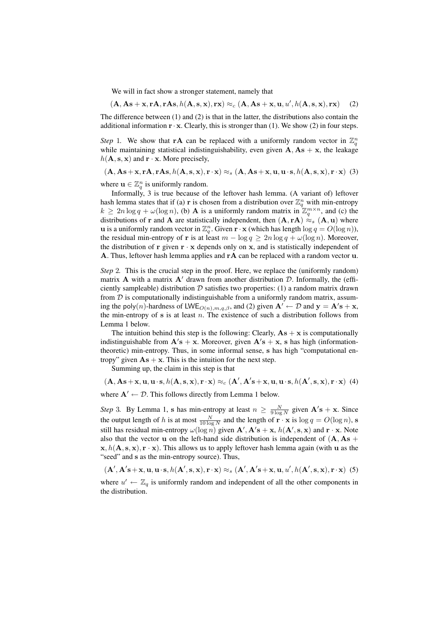We will in fact show a stronger statement, namely that

$$
(\mathbf{A}, \mathbf{As} + \mathbf{x}, \mathbf{rA}, \mathbf{rAs}, h(\mathbf{A}, \mathbf{s}, \mathbf{x}), \mathbf{rx}) \approx_c (\mathbf{A}, \mathbf{As} + \mathbf{x}, \mathbf{u}, u', h(\mathbf{A}, \mathbf{s}, \mathbf{x}), \mathbf{rx}) \tag{2}
$$

The difference between  $(1)$  and  $(2)$  is that in the latter, the distributions also contain the additional information  $\mathbf{r} \cdot \mathbf{x}$ . Clearly, this is stronger than (1). We show (2) in four steps.

*Step* 1. We show that **rA** can be replaced with a uniformly random vector in  $\mathbb{Z}_q^n$ while maintaining statistical indistinguishability, even given  $A, As + x$ , the leakage  $h(\mathbf{A}, \mathbf{s}, \mathbf{x})$  and  $\mathbf{r} \cdot \mathbf{x}$ . More precisely,

$$
(\mathbf{A}, \mathbf{As} + \mathbf{x}, \mathbf{rA}, \mathbf{rAs}, h(\mathbf{A}, \mathbf{s}, \mathbf{x}), \mathbf{r} \cdot \mathbf{x}) \approx_s (\mathbf{A}, \mathbf{As} + \mathbf{x}, \mathbf{u}, \mathbf{u} \cdot \mathbf{s}, h(\mathbf{A}, \mathbf{s}, \mathbf{x}), \mathbf{r} \cdot \mathbf{x})
$$
(3)

where  $\mathbf{u} \in \mathbb{Z}_q^n$  is uniformly random.

Informally, 3 is true because of the leftover hash lemma. (A variant of) leftover hash lemma states that if (a) **r** is chosen from a distribution over  $\mathbb{Z}_q^n$  with min-entropy  $k \geq 2n \log q + \omega(\log n)$ , (b) A is a uniformly random matrix in  $\mathbb{Z}_q^{m \times n}$ , and (c) the distributions of r and A are statistically independent, then  $(A, rA) \approx_s (A, u)$  where **u** is a uniformly random vector in  $\mathbb{Z}_q^n$ . Given  $\mathbf{r} \cdot \mathbf{x}$  (which has length  $\log q = O(\log n)$ ), the residual min-entropy of r is at least  $m - \log q \ge 2n \log q + \omega(\log n)$ . Moreover, the distribution of r given  $\mathbf{r} \cdot \mathbf{x}$  depends only on x, and is statistically independent of A. Thus, leftover hash lemma applies and rA can be replaced with a random vector u.

*Step* 2. This is the crucial step in the proof. Here, we replace the (uniformly random) matrix A with a matrix  $A'$  drawn from another distribution  $D$ . Informally, the (efficiently sampleable) distribution  $D$  satisfies two properties: (1) a random matrix drawn from  $D$  is computationally indistinguishable from a uniformly random matrix, assuming the poly(n)-hardness of LWE<sub>O(n),m,q, $\beta$ </sub>, and (2) given  $\mathbf{A}' \leftarrow \mathcal{D}$  and  $\mathbf{y} = \mathbf{A}'\mathbf{s} + \mathbf{x}$ , the min-entropy of s is at least n. The existence of such a distribution follows from Lemma 1 below.

The intuition behind this step is the following: Clearly,  $\mathbf{A}\mathbf{s} + \mathbf{x}$  is computationally indistinguishable from  $\mathbf{A}'\mathbf{s} + \mathbf{x}$ . Moreover, given  $\mathbf{A}'\mathbf{s} + \mathbf{x}$ , s has high (informationtheoretic) min-entropy. Thus, in some informal sense, s has high "computational entropy" given  $\mathbf{A}\mathbf{s} + \mathbf{x}$ . This is the intuition for the next step.

Summing up, the claim in this step is that

$$
(\mathbf{A}, \mathbf{As} + \mathbf{x}, \mathbf{u}, \mathbf{u} \cdot \mathbf{s}, h(\mathbf{A}, \mathbf{s}, \mathbf{x}), \mathbf{r} \cdot \mathbf{x}) \approx_c (\mathbf{A}', \mathbf{A}'\mathbf{s} + \mathbf{x}, \mathbf{u}, \mathbf{u} \cdot \mathbf{s}, h(\mathbf{A}', \mathbf{s}, \mathbf{x}), \mathbf{r} \cdot \mathbf{x})
$$
(4)

where  $A' \leftarrow D$ . This follows directly from Lemma 1 below.

*Step* 3. By Lemma 1, s has min-entropy at least  $n \ge \frac{N}{9 \log N}$  given  $\mathbf{A}'\mathbf{s} + \mathbf{x}$ . Since the output length of h is at most  $\frac{N}{10 \log N}$  and the length of  $\mathbf{r} \cdot \mathbf{x}$  is  $\log q = O(\log n)$ , s still has residual min-entropy  $\omega(\log n)$  given  $\mathbf{A}', \mathbf{A}'\mathbf{s} + \mathbf{x}$ ,  $h(\mathbf{A}', \mathbf{s}, \mathbf{x})$  and  $\mathbf{r} \cdot \mathbf{x}$ . Note also that the vector **u** on the left-hand side distribution is independent of  $(A, As +)$  $x, h(A, s, x), r \cdot x$ ). This allows us to apply leftover hash lemma again (with u as the "seed" and s as the min-entropy source). Thus,

$$
(\mathbf{A}', \mathbf{A}'\mathbf{s} + \mathbf{x}, \mathbf{u}, \mathbf{u} \cdot \mathbf{s}, h(\mathbf{A}', \mathbf{s}, \mathbf{x}), \mathbf{r} \cdot \mathbf{x}) \approx_s (\mathbf{A}', \mathbf{A}'\mathbf{s} + \mathbf{x}, \mathbf{u}, u', h(\mathbf{A}', \mathbf{s}, \mathbf{x}), \mathbf{r} \cdot \mathbf{x})
$$
(5)

where  $u' \leftarrow \mathbb{Z}_q$  is uniformly random and independent of all the other components in the distribution.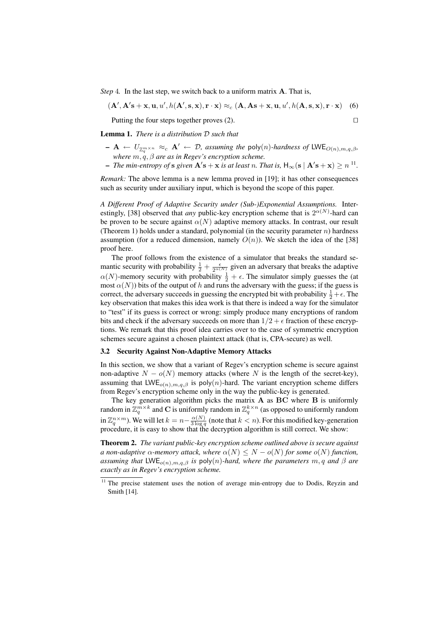*Step* 4. In the last step, we switch back to a uniform matrix **A**. That is,

 $(\mathbf{A}', \mathbf{A}'\mathbf{s} + \mathbf{x}, \mathbf{u}, u', h(\mathbf{A}', \mathbf{s}, \mathbf{x}), \mathbf{r} \cdot \mathbf{x}) \approx_c (\mathbf{A}, \mathbf{A}\mathbf{s} + \mathbf{x}, \mathbf{u}, u', h(\mathbf{A}, \mathbf{s}, \mathbf{x}), \mathbf{r} \cdot \mathbf{x})$  (6)

Putting the four steps together proves  $(2)$ .

Lemma 1. *There is a distribution* D *such that*

- $-$  A  $\leftarrow$   $U_{\mathbb{Z}_q^{m\times n}} \approx_c$  A'  $\leftarrow$  D, assuming the poly(n)-hardness of LWE<sub>O(n),m,q, $\beta$ ,</sub> *where* m, q, β *are as in Regev's encryption scheme.*
- $-$  The min-entropy of  $\bf s$  given  ${\bf A}'\bf s + \bf x$  is at least n. That is,  ${\sf H}_\infty(\bf s \mid {\bf A}'\bf s + \bf x) \geq n$   $^{11}$ .

*Remark:* The above lemma is a new lemma proved in [19]; it has other consequences such as security under auxiliary input, which is beyond the scope of this paper.

*A Different Proof of Adaptive Security under (Sub-)Exponential Assumptions.* Interestingly, [38] observed that *any* public-key encryption scheme that is  $2^{\alpha(N)}$ -hard can be proven to be secure against  $\alpha(N)$  adaptive memory attacks. In contrast, our result (Theorem 1) holds under a standard, polynomial (in the security parameter  $n$ ) hardness assumption (for a reduced dimension, namely  $O(n)$ ). We sketch the idea of the [38] proof here.

The proof follows from the existence of a simulator that breaks the standard semantic security with probability  $\frac{1}{2} + \frac{\epsilon}{2^{\alpha(N)}}$  given an adversary that breaks the adaptive  $\alpha(N)$ -memory security with probability  $\frac{1}{2} + \epsilon$ . The simulator simply guesses the (at most  $\alpha(N)$ ) bits of the output of h and runs the adversary with the guess; if the guess is correct, the adversary succeeds in guessing the encrypted bit with probability  $\frac{1}{2} + \epsilon$ . The key observation that makes this idea work is that there is indeed a way for the simulator to "test" if its guess is correct or wrong: simply produce many encryptions of random bits and check if the adversary succeeds on more than  $1/2 + \epsilon$  fraction of these encryptions. We remark that this proof idea carries over to the case of symmetric encryption schemes secure against a chosen plaintext attack (that is, CPA-secure) as well.

#### 3.2 Security Against Non-Adaptive Memory Attacks

In this section, we show that a variant of Regev's encryption scheme is secure against non-adaptive  $N - o(N)$  memory attacks (where N is the length of the secret-key), assuming that  $LWE_{o(n),m,q,\beta}$  is poly $(n)$ -hard. The variant encryption scheme differs from Regev's encryption scheme only in the way the public-key is generated.

The key generation algorithm picks the matrix  $A$  as  $BC$  where  $B$  is uniformly random in  $\mathbb{Z}_q^{m\times k}$  and  ${\bf C}$  is uniformly random in  $\mathbb{Z}_q^{k\times n}$  (as opposed to uniformly random in  $\mathbb{Z}_q^{n \times m}$ ). We will let  $k = n - \frac{\alpha(N)}{3 \log a}$  $\frac{\alpha(N)}{3 \log q}$  (note that  $k < n$ ). For this modified key-generation procedure, it is easy to show that the decryption algorithm is still correct. We show:

Theorem 2. *The variant public-key encryption scheme outlined above is secure against a* non-adaptive  $\alpha$ -memory attack, where  $\alpha(N) \leq N - o(N)$  for some  $o(N)$  function, *assuming that*  $LWE_{o(n),m,q,\beta}$  *is* poly $(n)$ *-hard, where the parameters* m, q and  $\beta$  are *exactly as in Regev's encryption scheme.*

<sup>&</sup>lt;sup>11</sup> The precise statement uses the notion of average min-entropy due to Dodis, Reyzin and Smith [14].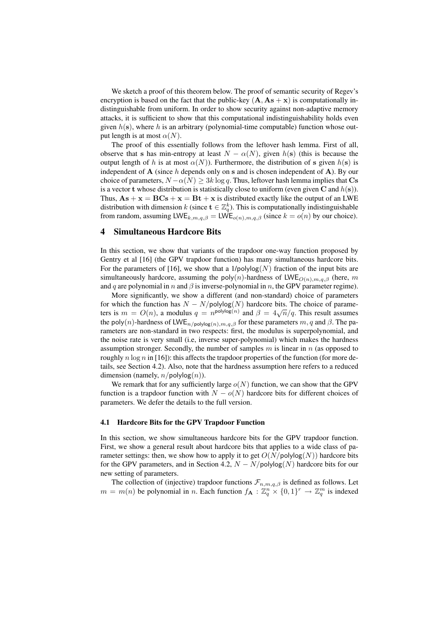We sketch a proof of this theorem below. The proof of semantic security of Regev's encryption is based on the fact that the public-key  $(A, As + x)$  is computationally indistinguishable from uniform. In order to show security against non-adaptive memory attacks, it is sufficient to show that this computational indistinguishability holds even given  $h(s)$ , where h is an arbitrary (polynomial-time computable) function whose output length is at most  $\alpha(N)$ .

The proof of this essentially follows from the leftover hash lemma. First of all, observe that s has min-entropy at least  $N - \alpha(N)$ , given  $h(s)$  (this is because the output length of h is at most  $\alpha(N)$ ). Furthermore, the distribution of s given  $h(s)$  is independent of  $A$  (since h depends only on s and is chosen independent of  $A$ ). By our choice of parameters,  $N - \alpha(N) \geq 3k \log q$ . Thus, leftover hash lemma implies that Cs is a vector **t** whose distribution is statistically close to uniform (even given C and  $h(s)$ ). Thus,  $\mathbf{A}\mathbf{s} + \mathbf{x} = \mathbf{B}\mathbf{C}\mathbf{s} + \mathbf{x} = \mathbf{B}\mathbf{t} + \mathbf{x}$  is distributed exactly like the output of an LWE distribution with dimension  $k$  (since  $\mathbf{t} \in \mathbb{Z}_q^k$ ). This is computationally indistinguishable from random, assuming LWE<sub>k,m,q, $\beta$ </sub> = LWE<sub>o(n),m,q, $\beta$ </sub> (since  $k = o(n)$  by our choice).

### 4 Simultaneous Hardcore Bits

In this section, we show that variants of the trapdoor one-way function proposed by Gentry et al [16] (the GPV trapdoor function) has many simultaneous hardcore bits. For the parameters of [16], we show that a  $1/polylog(N)$  fraction of the input bits are simultaneously hardcore, assuming the poly(n)-hardness of LWE<sub> $O(n)$ , $m,q,\beta$ </sub> (here, m and q are polynomial in n and  $\beta$  is inverse-polynomial in n, the GPV parameter regime).

More significantly, we show a different (and non-standard) choice of parameters for which the function has  $N - N/polylog(N)$  hardcore bits. The choice of parameters is  $m = O(n)$ , a modulus  $q = n^{\text{polylog}(n)}$  and  $\beta = 4\sqrt{n}/q$ . This result assumes the poly(n)-hardness of LWE<sub>n/polylog(n),m,q,β</sub> for these parameters m, q and  $\beta$ . The parameters are non-standard in two respects: first, the modulus is superpolynomial, and the noise rate is very small (i.e, inverse super-polynomial) which makes the hardness assumption stronger. Secondly, the number of samples  $m$  is linear in  $n$  (as opposed to roughly  $n \log n$  in [16]): this affects the trapdoor properties of the function (for more details, see Section 4.2). Also, note that the hardness assumption here refers to a reduced dimension (namely,  $n/polylog(n)$ ).

We remark that for any sufficiently large  $o(N)$  function, we can show that the GPV function is a trapdoor function with  $N - o(N)$  hardcore bits for different choices of parameters. We defer the details to the full version.

#### 4.1 Hardcore Bits for the GPV Trapdoor Function

In this section, we show simultaneous hardcore bits for the GPV trapdoor function. First, we show a general result about hardcore bits that applies to a wide class of parameter settings: then, we show how to apply it to get  $O(N/\text{polylog}(N))$  hardcore bits for the GPV parameters, and in Section 4.2,  $N - N/polylog(N)$  hardcore bits for our new setting of parameters.

The collection of (injective) trapdoor functions  $\mathcal{F}_{n,m,q,\beta}$  is defined as follows. Let  $m = m(n)$  be polynomial in n. Each function  $f_{\mathbf{A}} : \mathbb{Z}_q^n \times \{0,1\}^r \to \mathbb{Z}_q^m$  is indexed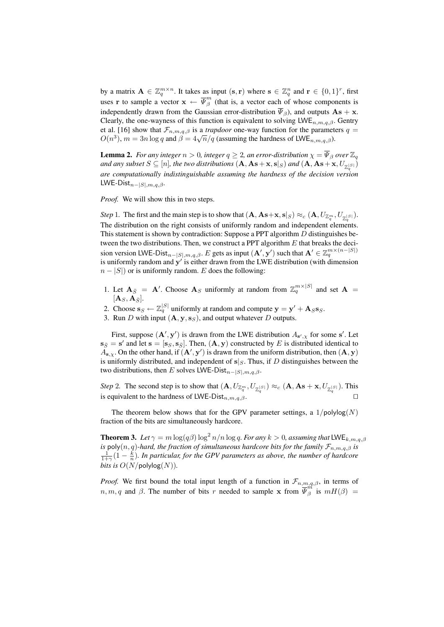by a matrix  $A \in \mathbb{Z}_q^{m \times n}$ . It takes as input  $(s, r)$  where  $s \in \mathbb{Z}_q^n$  and  $r \in \{0, 1\}^r$ , first uses r to sample a vector  $\mathbf{x} \leftarrow \overline{\Psi}_{\beta}^{m}$  $\int_{\beta}^{m}$  (that is, a vector each of whose components is independently drawn from the Gaussian error-distribution  $\overline{\Psi}_{\beta}$ ), and outputs As + x. Clearly, the one-wayness of this function is equivalent to solving  $LWE_{n,m,q,\beta}$ . Gentry et al. [16] show that  $\mathcal{F}_{n,m,q,\beta}$  is a *trapdoor* one-way function for the parameters  $q =$ Et al. [10] show that  $\lambda_{n,m,q,\beta}$  is a *trapabol* one-way function for the parameter  $O(n^3)$ ,  $m = 3n \log q$  and  $\beta = 4\sqrt{n}/q$  (assuming the hardness of LWE<sub>n,m,q, $\beta$ </sub>).

**Lemma 2.** *For any integer*  $n > 0$ *, integer*  $q \geq 2$ *, an error-distribution*  $\chi = \overline{\Psi}_{\beta}$  *over*  $\mathbb{Z}_q$ and any subset  $S\subseteq [n]$ , the two distributions  $({\bf A},{\bf A}{\bf s}+{\bf x},{\bf s}|_S)$  and  $({\bf A},{\bf A}{\bf s}+{\bf x},U_{\mathbb{Z}_q^{[S]}})$ *are computationally indistinguishable assuming the hardness of the decision version* LWE-Dist $_{n-|S|,m,q,\beta}$ .

*Proof.* We will show this in two steps.

*Step* 1. The first and the main step is to show that  $(A, As+x,s|_S) \approx_c (A, U_{\mathbb{Z}_q^m}, U_{\mathbb{Z}_q^{|S|}})$ . The distribution on the right consists of uniformly random and independent elements. This statement is shown by contradiction: Suppose a PPT algorithm D distinguishes between the two distributions. Then, we construct a PPT algorithm  $E$  that breaks the decision version LWE-Dist $_{n-|S|,m,q,\beta}$ . E gets as input  $(\mathbf{A}', \mathbf{y}')$  such that  $\mathbf{A}' \in \mathbb{Z}_q^{m \times (n-|S|)}$ is uniformly random and  $y'$  is either drawn from the LWE distribution (with dimension  $n - |S|$ ) or is uniformly random. E does the following:

- 1. Let  ${\bf A}_{\bar{S}} = {\bf A}'$ . Choose  ${\bf A}_S$  uniformly at random from  $\mathbb{Z}_q^{m \times |S|}$  and set  ${\bf A} =$  $[\mathbf{A}_S, \mathbf{A}_{\bar{S}}].$
- 2. Choose  $\mathbf{s}_S \leftarrow \mathbb{Z}_q^{|S|}$  uniformly at random and compute  $\mathbf{y} = \mathbf{y}' + \mathbf{A}_S \mathbf{s}_S$ .
- 3. Run D with input  $(A, y, s_S)$ , and output whatever D outputs.

First, suppose  $(\mathbf{A}', \mathbf{y}')$  is drawn from the LWE distribution  $A_{\mathbf{s}', \chi}$  for some  $\mathbf{s}'$ . Let  $\mathbf{s}_{\bar{S}} = \mathbf{s}'$  and let  $\mathbf{s} = [\mathbf{s}_S, \mathbf{s}_{\bar{S}}]$ . Then,  $(\mathbf{A}, \mathbf{y})$  constructed by E is distributed identical to  $A_{s,x}$ . On the other hand, if  $(A', y')$  is drawn from the uniform distribution, then  $(A, y)$ is uniformly distributed, and independent of  $s|_S$ . Thus, if D distinguishes between the two distributions, then E solves LWE-Dist $_{n-|S|,m,q,\beta}$ .

*Step* 2. The second step is to show that  $(\mathbf{A}, U_{\mathbb{Z}_q^m}, U_{\mathbb{Z}_q^{|S|}}) \approx_c (\mathbf{A}, \mathbf{As} + \mathbf{x}, U_{\mathbb{Z}_q^{|S|}})$ . This is equivalent to the hardness of LWE-Dist<sub>n,m,a</sub> $\beta$ .

The theorem below shows that for the GPV parameter settings, a  $1/polylog(N)$ fraction of the bits are simultaneously hardcore.

**Theorem 3.** Let  $\gamma = m \log(q\beta) \log^2 n/n \log q$ . For any  $k > 0$ , assuming that LWE<sub>k,m,q, $\beta$ </sub> *is* poly $(n, q)$ -hard, the fraction of simultaneous hardcore bits for the family  $\mathcal{F}_{n,m,q,\beta}$  is  $\frac{1}{1+\gamma}(1-\frac{k}{n})$ . In particular, for the GPV parameters as above, the number of hardcore *bits is*  $O(N/\text{polylog}(N))$ .

*Proof.* We first bound the total input length of a function in  $\mathcal{F}_{n,m,q,\beta}$ , in terms of  $n, m, q$  and  $\beta$ . The number of bits r needed to sample x from  $\overline{\Psi}_{\beta}^{m}$  $\int_{\beta}^{m}$  is  $mH(\beta)$  =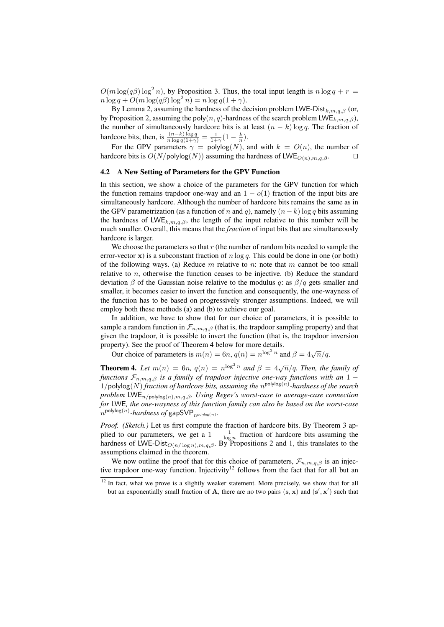$O(m \log(q \beta) \log^2 n)$ , by Proposition 3. Thus, the total input length is  $n \log q + r =$  $n \log q + O(m \log(q \beta) \log^2 n) = n \log q(1 + \gamma).$ 

By Lemma 2, assuming the hardness of the decision problem LWE-Dist $_{k,m,q,\beta}$  (or, by Proposition 2, assuming the poly $(n, q)$ -hardness of the search problem LWE<sub>k,m,q,β</sub>), the number of simultaneously hardcore bits is at least  $(n - k) \log q$ . The fraction of hardcore bits, then, is  $\frac{(n-k)\log q}{n \log q(1+\gamma)} = \frac{1}{1+\gamma}(1-\frac{k}{n}).$ 

For the GPV parameters  $\gamma = \text{polylog}(N)$ , and with  $k = O(n)$ , the number of hardcore bits is  $O(N/\text{polylog}(N))$  assuming the hardness of LWE $_{O(n),m,q,\beta}$ .

## 4.2 A New Setting of Parameters for the GPV Function

In this section, we show a choice of the parameters for the GPV function for which the function remains trapdoor one-way and an  $1 - o(1)$  fraction of the input bits are simultaneously hardcore. Although the number of hardcore bits remains the same as in the GPV parametrization (as a function of n and q), namely  $(n - k) \log q$  bits assuming the hardness of LWE<sub>k,m,q, $\beta$ </sub>, the length of the input relative to this number will be much smaller. Overall, this means that the *fraction* of input bits that are simultaneously hardcore is larger.

We choose the parameters so that  $r$  (the number of random bits needed to sample the error-vector x) is a subconstant fraction of  $n \log q$ . This could be done in one (or both) of the following ways. (a) Reduce  $m$  relative to  $n$ : note that  $m$  cannot be too small relative to n, otherwise the function ceases to be injective. (b) Reduce the standard deviation  $\beta$  of the Gaussian noise relative to the modulus q: as  $\beta/q$  gets smaller and smaller, it becomes easier to invert the function and consequently, the one-wayness of the function has to be based on progressively stronger assumptions. Indeed, we will employ both these methods (a) and (b) to achieve our goal.

In addition, we have to show that for our choice of parameters, it is possible to sample a random function in  $\mathcal{F}_{n,m,q,\beta}$  (that is, the trapdoor sampling property) and that given the trapdoor, it is possible to invert the function (that is, the trapdoor inversion property). See the proof of Theorem 4 below for more details.

Our choice of parameters is  $m(n) = 6n$ ,  $q(n) = n^{\log^3 n}$  and  $\beta = 4\sqrt{n}/q$ .

**Theorem 4.** Let  $m(n) = 6n$ ,  $q(n) = n^{\log^3 n}$  and  $\beta = 4\sqrt{n}/q$ . Then, the family of *functions*  $\mathcal{F}_{n,m,q,\beta}$  *is a family of trapdoor injective one-way functions with an* 1 −  $1/\text{polylog}(N)$  *fraction of hardcore bits, assuming the*  $n^{\text{polylog}(n)}$ -hardness of the search *problem* LWE<sub>n/polylog(n),m,q, $\beta$ *. Using Regev's worst-case to average-case connection*</sub> *for* LWE*, the one-wayness of this function family can also be based on the worst-case*  $n^{\mathsf{polylog}(n)}$ *-hardness of* gapSVP $_{n^{\mathsf{polylog}(n)}}$ .

*Proof. (Sketch.)* Let us first compute the fraction of hardcore bits. By Theorem 3 applied to our parameters, we get a  $1 - \frac{1}{\log n}$  fraction of hardcore bits assuming the hardness of LWE-Dist<sub>O(n/log n),m,q,β</sub>. By Propositions 2 and 1, this translates to the assumptions claimed in the theorem.

We now outline the proof that for this choice of parameters,  $\mathcal{F}_{n,m,q,\beta}$  is an injective trapdoor one-way function. Injectivity<sup>12</sup> follows from the fact that for all but an

 $12$  In fact, what we prove is a slightly weaker statement. More precisely, we show that for all but an exponentially small fraction of **A**, there are no two pairs  $(s, x)$  and  $(s', x')$  such that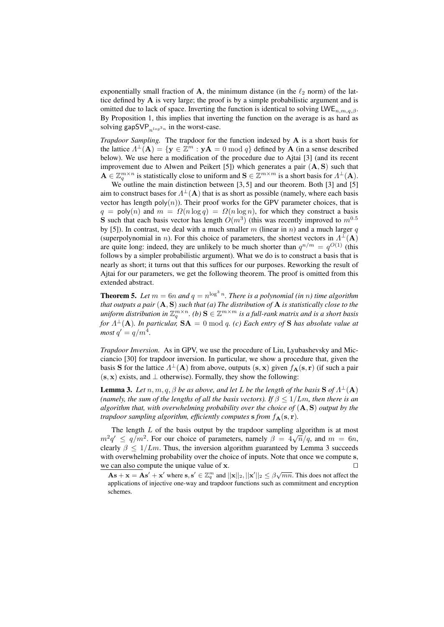exponentially small fraction of A, the minimum distance (in the  $\ell_2$  norm) of the lattice defined by  $A$  is very large; the proof is by a simple probabilistic argument and is omitted due to lack of space. Inverting the function is identical to solving LWE<sub>n,m,q,β</sub>. By Proposition 1, this implies that inverting the function on the average is as hard as solving gapSVP<sub>nlog3n</sub> in the worst-case.

*Trapdoor Sampling.* The trapdoor for the function indexed by A is a short basis for the lattice  $\Lambda^{\perp}({\bf A}) = \{ {\bf y} \in \mathbb{Z}^m : {\bf y}{\bf A} = 0 \bmod{q} \}$  defined by  ${\bf A}$  (in a sense described below). We use here a modification of the procedure due to Ajtai [3] (and its recent improvement due to Alwen and Peikert [5]) which generates a pair  $(A, S)$  such that  $\mathbf{A} \in \mathbb{Z}_q^{m \times n}$  is statistically close to uniform and  $\mathbf{S} \in \mathbb{Z}^{m \times m}$  is a short basis for  $\Lambda^{\perp}(\mathbf{A})$ .

We outline the main distinction between [3, 5] and our theorem. Both [3] and [5] aim to construct bases for  $\Lambda^{\perp}(A)$  that is as short as possible (namely, where each basis vector has length poly $(n)$ ). Their proof works for the GPV parameter choices, that is  $q = \text{poly}(n)$  and  $m = \Omega(n \log q) = \Omega(n \log n)$ , for which they construct a basis **S** such that each basis vector has length  $O(m^3)$  (this was recently improved to  $m^{0.5}$ by [5]). In contrast, we deal with a much smaller m (linear in  $n$ ) and a much larger  $q$ (superpolynomial in *n*). For this choice of parameters, the shortest vectors in  $\Lambda^{\perp}(A)$ are quite long: indeed, they are unlikely to be much shorter than  $q^{n/m} = q^{O(1)}$  (this follows by a simpler probabilistic argument). What we do is to construct a basis that is nearly as short; it turns out that this suffices for our purposes. Reworking the result of Ajtai for our parameters, we get the following theorem. The proof is omitted from this extended abstract.

**Theorem 5.** Let  $m = 6n$  and  $q = n^{\log^3 n}$ . There is a polynomial (in n) time algorithm *that outputs a pair* (A, S) *such that (a) The distribution of* A *is statistically close to the* uniform distribution in  $\mathbb{Z}_q^{m\times n}$ . (b)  $\mathbf{S}\in\mathbb{Z}^{m\times m}$  is a full-rank matrix and is a short basis *for*  $\Lambda^{\perp}$ (**A**). In particular,  $SA = 0 \mod q$ . (c) Each entry of S has absolute value at  $most q' = q/m<sup>4</sup>$ .

*Trapdoor Inversion.* As in GPV, we use the procedure of Liu, Lyubashevsky and Micciancio [30] for trapdoor inversion. In particular, we show a procedure that, given the basis **S** for the lattice  $\Lambda^{\perp}(A)$  from above, outputs  $(s, x)$  given  $f_A(s, r)$  (if such a pair  $(s, x)$  exists, and  $\perp$  otherwise). Formally, they show the following:

**Lemma 3.** Let  $n, m, q, \beta$  be as above, and let L be the length of the basis S of  $\Lambda^{\perp}($ A) *(namely, the sum of the lengths of all the basis vectors). If*  $\beta \leq 1/Lm$ *, then there is an algorithm that, with overwhelming probability over the choice of* (A, S) *output by the trapdoor sampling algorithm, efficiently computes* s *from*  $f_{\mathbf{A}}(\mathbf{s}, \mathbf{r})$ *.* 

The length  $L$  of the basis output by the trapdoor sampling algorithm is at most The length L of the basis output by the trapuoof sampling argorithm is at most  $m^2q' \leq q/m^2$ . For our choice of parameters, namely  $\beta = 4\sqrt{n}/q$ , and  $m = 6n$ , clearly  $\beta \leq 1/Lm$ . Thus, the inversion algorithm guaranteed by Lemma 3 succeeds with overwhelming probability over the choice of inputs. Note that once we compute s, we can also compute the unique value of  $x$ .  $\Box$ 

As  $+ \mathbf{x} = \mathbf{A} \mathbf{s}' + \mathbf{x}'$  where  $\mathbf{s}, \mathbf{s}' \in \mathbb{Z}_q^m$  and  $||\mathbf{x}||_2, ||\mathbf{x}'||_2 \leq \beta \sqrt{mn}$ . This does not affect the applications of injective one-way and trapdoor functions such as commitment and encryption schemes.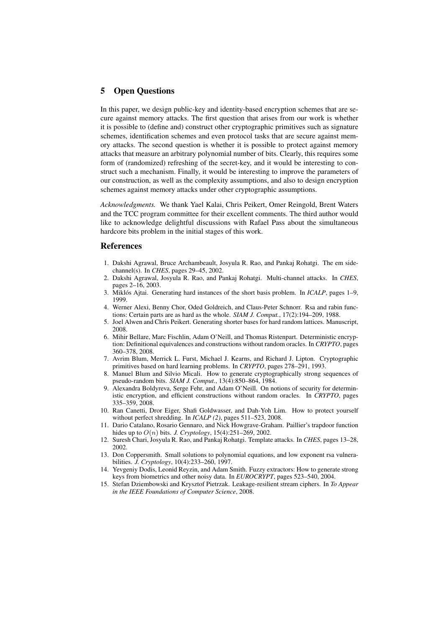## 5 Open Questions

In this paper, we design public-key and identity-based encryption schemes that are secure against memory attacks. The first question that arises from our work is whether it is possible to (define and) construct other cryptographic primitives such as signature schemes, identification schemes and even protocol tasks that are secure against memory attacks. The second question is whether it is possible to protect against memory attacks that measure an arbitrary polynomial number of bits. Clearly, this requires some form of (randomized) refreshing of the secret-key, and it would be interesting to construct such a mechanism. Finally, it would be interesting to improve the parameters of our construction, as well as the complexity assumptions, and also to design encryption schemes against memory attacks under other cryptographic assumptions.

*Acknowledgments.* We thank Yael Kalai, Chris Peikert, Omer Reingold, Brent Waters and the TCC program committee for their excellent comments. The third author would like to acknowledge delightful discussions with Rafael Pass about the simultaneous hardcore bits problem in the initial stages of this work.

#### References

- 1. Dakshi Agrawal, Bruce Archambeault, Josyula R. Rao, and Pankaj Rohatgi. The em sidechannel(s). In *CHES*, pages 29–45, 2002.
- 2. Dakshi Agrawal, Josyula R. Rao, and Pankaj Rohatgi. Multi-channel attacks. In *CHES*, pages 2–16, 2003.
- 3. Miklós Ajtai. Generating hard instances of the short basis problem. In *ICALP*, pages 1–9, 1999.
- 4. Werner Alexi, Benny Chor, Oded Goldreich, and Claus-Peter Schnorr. Rsa and rabin functions: Certain parts are as hard as the whole. *SIAM J. Comput.*, 17(2):194–209, 1988.
- 5. Joel Alwen and Chris Peikert. Generating shorter bases for hard random lattices. Manuscript, 2008.
- 6. Mihir Bellare, Marc Fischlin, Adam O'Neill, and Thomas Ristenpart. Deterministic encryption: Definitional equivalences and constructions without random oracles. In *CRYPTO*, pages 360–378, 2008.
- 7. Avrim Blum, Merrick L. Furst, Michael J. Kearns, and Richard J. Lipton. Cryptographic primitives based on hard learning problems. In *CRYPTO*, pages 278–291, 1993.
- 8. Manuel Blum and Silvio Micali. How to generate cryptographically strong sequences of pseudo-random bits. *SIAM J. Comput.*, 13(4):850–864, 1984.
- 9. Alexandra Boldyreva, Serge Fehr, and Adam O'Neill. On notions of security for deterministic encryption, and efficient constructions without random oracles. In *CRYPTO*, pages 335–359, 2008.
- 10. Ran Canetti, Dror Eiger, Shafi Goldwasser, and Dah-Yoh Lim. How to protect yourself without perfect shredding. In *ICALP (2)*, pages 511–523, 2008.
- 11. Dario Catalano, Rosario Gennaro, and Nick Howgrave-Graham. Paillier's trapdoor function hides up to O(n) bits. *J. Cryptology*, 15(4):251–269, 2002.
- 12. Suresh Chari, Josyula R. Rao, and Pankaj Rohatgi. Template attacks. In *CHES*, pages 13–28, 2002.
- 13. Don Coppersmith. Small solutions to polynomial equations, and low exponent rsa vulnerabilities. *J. Cryptology*, 10(4):233–260, 1997.
- 14. Yevgeniy Dodis, Leonid Reyzin, and Adam Smith. Fuzzy extractors: How to generate strong keys from biometrics and other noisy data. In *EUROCRYPT*, pages 523–540, 2004.
- 15. Stefan Dziembowski and Krysztof Pietrzak. Leakage-resilient stream ciphers. In *To Appear in the IEEE Foundations of Computer Science*, 2008.